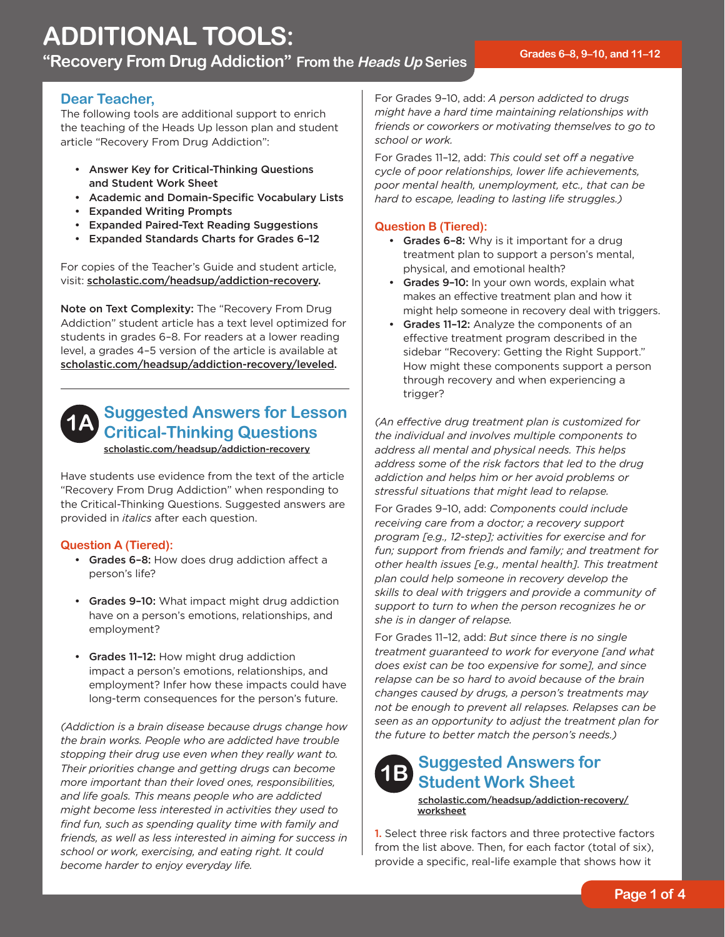"Recovery From Drug Addiction" From the *Heads Up* Series **Fack** 6-8, 9-10, and 11-12

#### **Dear Teacher,**

The following tools are additional support to enrich the teaching of the Heads Up lesson plan and student article "Recovery From Drug Addiction":

- • Answer Key for Critical-Thinking Questions and Student Work Sheet
- • Academic and Domain-Specific Vocabulary Lists
- • Expanded Writing Prompts
- • Expanded Paired-Text Reading Suggestions
- • Expanded Standards Charts for Grades 6–12

For copies of the Teacher's Guide and student article, visit: [scholastic.com/headsup/addiction-recovery.](http://scholastic.com/headsup/addiction-recovery)

Note on Text Complexity: The "Recovery From Drug Addiction" student article has a text level optimized for students in grades 6–8. For readers at a lower reading level, a grades 4–5 version of the article is available at [scholastic.com/headsup/addiction-recovery/leveled.](http://scholastic.com/headsup/addiction-recovery/leveled)



### **Suggested Answers for Lesson Critical-Thinking Questions**

[scholastic.com/headsup/addiction-recovery](http://scholastic.com/headsup/addiction-recovery)

Have students use evidence from the text of the article "Recovery From Drug Addiction" when responding to the Critical-Thinking Questions. Suggested answers are provided in *italics* after each question.

#### **Question A (Tiered):**

- Grades 6-8: How does drug addiction affect a person's life?
- Grades 9-10: What impact might drug addiction have on a person's emotions, relationships, and employment?
- Grades 11-12: How might drug addiction impact a person's emotions, relationships, and employment? Infer how these impacts could have long-term consequences for the person's future.

*(Addiction is a brain disease because drugs change how the brain works. People who are addicted have trouble stopping their drug use even when they really want to. Their priorities change and getting drugs can become more important than their loved ones, responsibilities, and life goals. This means people who are addicted might become less interested in activities they used to find fun, such as spending quality time with family and friends, as well as less interested in aiming for success in school or work, exercising, and eating right. It could become harder to enjoy everyday life.* 

For Grades 9–10, add: *A person addicted to drugs might have a hard time maintaining relationships with friends or coworkers or motivating themselves to go to school or work.* 

For Grades 11–12, add: *This could set off a negative cycle of poor relationships, lower life achievements, poor mental health, unemployment, etc., that can be hard to escape, leading to lasting life struggles.)* 

#### **Question B (Tiered):**

- Grades 6-8: Why is it important for a drug treatment plan to support a person's mental, physical, and emotional health?
- Grades 9-10: In your own words, explain what makes an effective treatment plan and how it might help someone in recovery deal with triggers.
- Grades 11-12: Analyze the components of an effective treatment program described in the sidebar "Recovery: Getting the Right Support." How might these components support a person through recovery and when experiencing a trigger?

*(An effective drug treatment plan is customized for the individual and involves multiple components to address all mental and physical needs. This helps address some of the risk factors that led to the drug addiction and helps him or her avoid problems or stressful situations that might lead to relapse.* 

For Grades 9–10, add: *Components could include receiving care from a doctor; a recovery support program [e.g., 12-step]; activities for exercise and for fun; support from friends and family; and treatment for other health issues [e.g., mental health]. This treatment plan could help someone in recovery develop the skills to deal with triggers and provide a community of support to turn to when the person recognizes he or she is in danger of relapse.* 

For Grades 11–12, add: *But since there is no single treatment guaranteed to work for everyone [and what does exist can be too expensive for some], and since relapse can be so hard to avoid because of the brain changes caused by drugs, a person's treatments may not be enough to prevent all relapses. Relapses can be seen as an opportunity to adjust the treatment plan for the future to better match the person's needs.)* 



[scholastic.com/headsup/addiction-recovery/](http://scholastic.com/headsup/addiction-recovery/worksheet) worksheet

1. Select three risk factors and three protective factors from the list above. Then, for each factor (total of six), provide a specific, real-life example that shows how it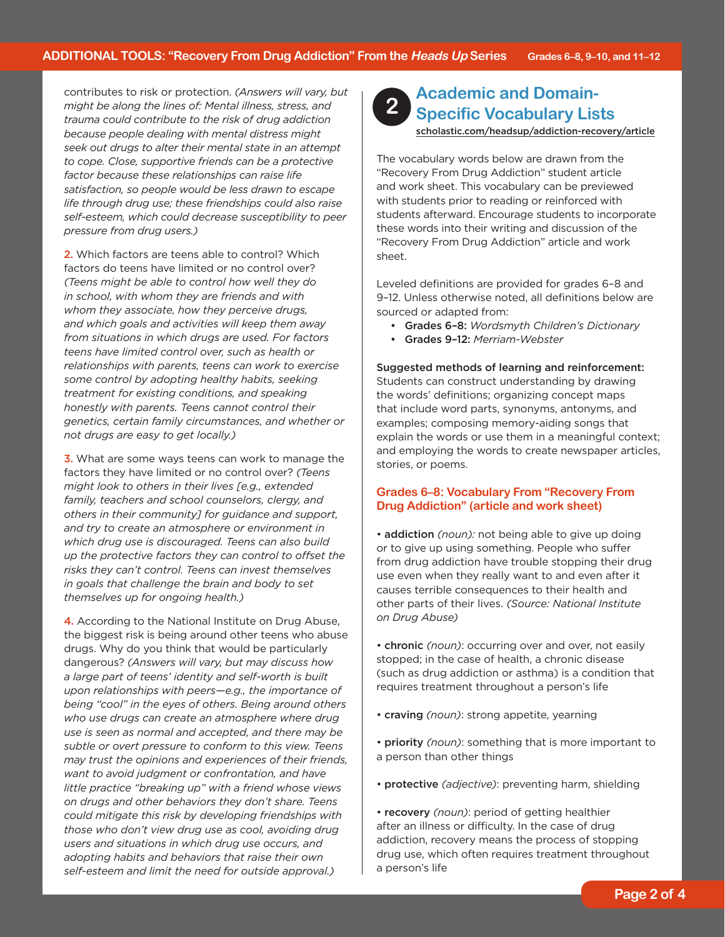*pressure from drug users.)* contributes to risk or protection. *(Answers will vary, but might be along the lines of: Mental illness, stress, and trauma could contribute to the risk of drug addiction because people dealing with mental distress might seek out drugs to alter their mental state in an attempt to cope. Close, supportive friends can be a protective factor because these relationships can raise life satisfaction, so people would be less drawn to escape life through drug use; these friendships could also raise self-esteem, which could decrease susceptibility to peer* 

2. Which factors are teens able to control? Which factors do teens have limited or no control over? *(Teens might be able to control how well they do in school, with whom they are friends and with whom they associate, how they perceive drugs, and which goals and activities will keep them away from situations in which drugs are used. For factors teens have limited control over, such as health or relationships with parents, teens can work to exercise some control by adopting healthy habits, seeking treatment for existing conditions, and speaking honestly with parents. Teens cannot control their genetics, certain family circumstances, and whether or not drugs are easy to get locally.)* 

3. What are some ways teens can work to manage the factors they have limited or no control over? *(Teens might look to others in their lives [e.g., extended family, teachers and school counselors, clergy, and others in their community] for guidance and support, and try to create an atmosphere or environment in which drug use is discouraged. Teens can also build up the protective factors they can control to offset the risks they can't control. Teens can invest themselves in goals that challenge the brain and body to set themselves up for ongoing health.)* 

4. According to the National Institute on Drug Abuse, the biggest risk is being around other teens who abuse drugs. Why do you think that would be particularly dangerous? *(Answers will vary, but may discuss how a large part of teens' identity and self-worth is built upon relationships with peers—e.g., the importance of being "cool" in the eyes of others. Being around others who use drugs can create an atmosphere where drug use is seen as normal and accepted, and there may be subtle or overt pressure to conform to this view. Teens may trust the opinions and experiences of their friends, want to avoid judgment or confrontation, and have little practice "breaking up" with a friend whose views on drugs and other behaviors they don't share. Teens could mitigate this risk by developing friendships with those who don't view drug use as cool, avoiding drug users and situations in which drug use occurs, and adopting habits and behaviors that raise their own self-esteem and limit the need for outside approval.)* 



# **Academic and Domain- 2 Specific Vocabulary Lists**

[scholastic.com/headsup/addiction-recovery/article](http://scholastic.com/headsup/addiction-recovery/article)

The vocabulary words below are drawn from the "Recovery From Drug Addiction" student article and work sheet. This vocabulary can be previewed with students prior to reading or reinforced with students afterward. Encourage students to incorporate these words into their writing and discussion of the "Recovery From Drug Addiction" article and work sheet.

Leveled definitions are provided for grades 6–8 and 9–12. Unless otherwise noted, all definitions below are sourced or adapted from:

- • Grades 6–8: *Wordsmyth Children's Dictionary*
- • Grades 9–12: *Merriam-Webster*

 Suggested methods of learning and reinforcement: Students can construct understanding by drawing the words' definitions; organizing concept maps that include word parts, synonyms, antonyms, and examples; composing memory-aiding songs that explain the words or use them in a meaningful context; and employing the words to create newspaper articles, stories, or poems.

#### **Grades 6–8: Vocabulary From "Recovery From Drug Addiction" (article and work sheet)**

• addiction *(noun):* not being able to give up doing or to give up using something. People who suffer from drug addiction have trouble stopping their drug use even when they really want to and even after it causes terrible consequences to their health and other parts of their lives. *(Source: National Institute on Drug Abuse)* 

- chronic *(noun)*: occurring over and over, not easily stopped; in the case of health, a chronic disease (such as drug addiction or asthma) is a condition that requires treatment throughout a person's life
- craving *(noun)*: strong appetite, yearning
- priority *(noun)*: something that is more important to a person than other things
- protective *(adjective)*: preventing harm, shielding

• recovery *(noun)*: period of getting healthier after an illness or difficulty. In the case of drug addiction, recovery means the process of stopping drug use, which often requires treatment throughout a person's life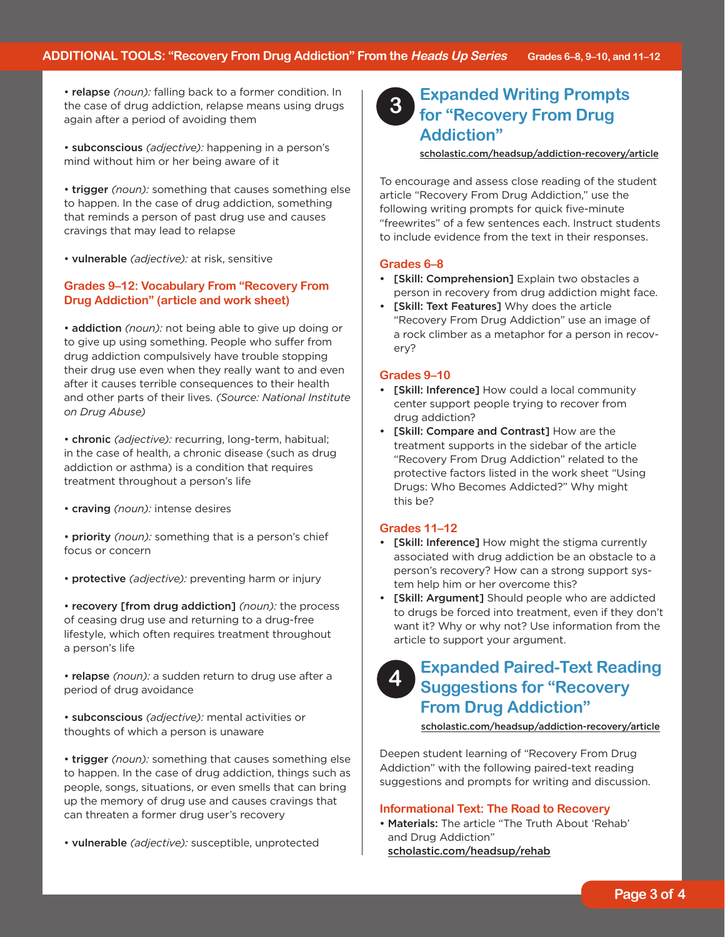• relapse *(noun):* falling back to a former condition. In the case of drug addiction, relapse means using drugs again after a period of avoiding them

• subconscious *(adjective):* happening in a person's mind without him or her being aware of it

• trigger *(noun):* something that causes something else to happen. In the case of drug addiction, something that reminds a person of past drug use and causes cravings that may lead to relapse

• vulnerable *(adjective):* at risk, sensitive

#### **Grades 9–12: Vocabulary From "Recovery From Drug Addiction" (article and work sheet)**

• addiction *(noun):* not being able to give up doing or to give up using something. People who suffer from drug addiction compulsively have trouble stopping their drug use even when they really want to and even after it causes terrible consequences to their health and other parts of their lives. *(Source: National Institute on Drug Abuse)* 

• chronic *(adjective):* recurring, long-term, habitual; in the case of health, a chronic disease (such as drug addiction or asthma) is a condition that requires treatment throughout a person's life

- craving *(noun):* intense desires
- priority *(noun):* something that is a person's chief focus or concern
- protective *(adjective):* preventing harm or injury

 • recovery [from drug addiction] *(noun):* the process of ceasing drug use and returning to a drug-free lifestyle, which often requires treatment throughout a person's life

• relapse *(noun):* a sudden return to drug use after a period of drug avoidance

• subconscious *(adjective):* mental activities or thoughts of which a person is unaware

• trigger *(noun):* something that causes something else to happen. In the case of drug addiction, things such as people, songs, situations, or even smells that can bring up the memory of drug use and causes cravings that can threaten a former drug user's recovery

• vulnerable *(adjective):* susceptible, unprotected

#### **Expanded Writing Prompts for "Recovery From Drug Addiction" 3**

[scholastic.com/headsup/addiction-recovery/article](http://scholastic.com/headsup/addiction-recovery/article)

To encourage and assess close reading of the student article "Recovery From Drug Addiction," use the following writing prompts for quick five-minute "freewrites" of a few sentences each. Instruct students to include evidence from the text in their responses.

#### **Grades 6–8**

- • [Skill: Comprehension] Explain two obstacles a person in recovery from drug addiction might face.
- [Skill: Text Features] Why does the article "Recovery From Drug Addiction" use an image of a rock climber as a metaphor for a person in recovery?

#### **Grades 9–10**

- [Skill: Inference] How could a local community center support people trying to recover from drug addiction?
- • [Skill: Compare and Contrast] How are the treatment supports in the sidebar of the article "Recovery From Drug Addiction" related to the protective factors listed in the work sheet "Using Drugs: Who Becomes Addicted?" Why might this be?

#### **Grades 11–12**

- [Skill: Inference] How might the stigma currently associated with drug addiction be an obstacle to a person's recovery? How can a strong support system help him or her overcome this?
- [Skill: Argument] Should people who are addicted to drugs be forced into treatment, even if they don't want it? Why or why not? Use information from the article to support your argument.

#### **Expanded Paired-Text Reading Suggestions for "Recovery From Drug Addiction" 4**

[scholastic.com/headsup/addiction-recovery/article](http://scholastic.com/headsup/addiction-recovery/article)

Deepen student learning of "Recovery From Drug Addiction" with the following paired-text reading suggestions and prompts for writing and discussion.

#### **Informational Text: The Road to Recovery**

 [scholastic.com/headsup/rehab](http://scholastic.com/headsup/rehab) • Materials: The article "The Truth About 'Rehab' and Drug Addiction"